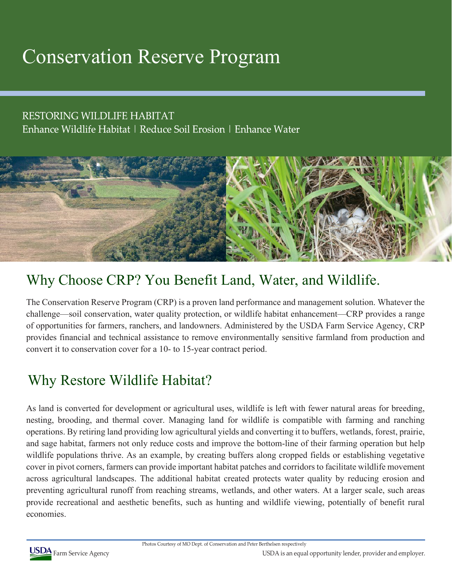# Conservation Reserve Program

### RESTORING WILDLIFE HABITAT

Enhance Wildlife Habitat | Reduce Soil Erosion | Enhance Water



## Why Choose CRP? You Benefit Land, Water, and Wildlife.

The Conservation Reserve Program (CRP) is a proven land performance and management solution. Whatever the challenge—soil conservation, water quality protection, or wildlife habitat enhancement—CRP provides a range of opportunities for farmers, ranchers, and landowners. Administered by the USDA Farm Service Agency, CRP provides financial and technical assistance to remove environmentally sensitive farmland from production and convert it to conservation cover for a 10- to 15-year contract period.

## Why Restore Wildlife Habitat?

As land is converted for development or agricultural uses, wildlife is left with fewer natural areas for breeding, nesting, brooding, and thermal cover. Managing land for wildlife is compatible with farming and ranching operations. By retiring land providing low agricultural yields and converting it to buffers, wetlands, forest, prairie, and sage habitat, farmers not only reduce costs and improve the bottom-line of their farming operation but help wildlife populations thrive. As an example, by creating buffers along cropped fields or establishing vegetative cover in pivot corners, farmers can provide important habitat patches and corridors to facilitate wildlife movement across agricultural landscapes. The additional habitat created protects water quality by reducing erosion and preventing agricultural runoff from reaching streams, wetlands, and other waters. At a larger scale, such areas provide recreational and aesthetic benefits, such as hunting and wildlife viewing, potentially of benefit rural economies.

Photos Courtesy of MO Dept. of Conservation and Peter Berthelsen respectively



Farm Service Agency USDA is an equal opportunity lender, provider and employer.